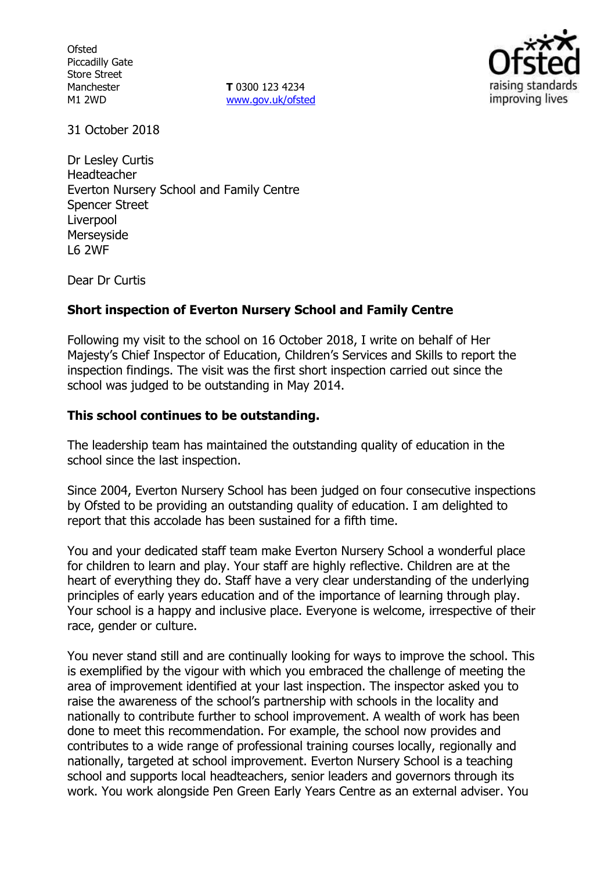**Ofsted** Piccadilly Gate Store Street Manchester M1 2WD

**T** 0300 123 4234 www.gov.uk/ofsted



31 October 2018

Dr Lesley Curtis **Headteacher** Everton Nursery School and Family Centre Spencer Street Liverpool **Merseyside** L6 2WF

Dear Dr Curtis

## **Short inspection of Everton Nursery School and Family Centre**

Following my visit to the school on 16 October 2018, I write on behalf of Her Majesty's Chief Inspector of Education, Children's Services and Skills to report the inspection findings. The visit was the first short inspection carried out since the school was judged to be outstanding in May 2014.

### **This school continues to be outstanding.**

The leadership team has maintained the outstanding quality of education in the school since the last inspection.

Since 2004, Everton Nursery School has been judged on four consecutive inspections by Ofsted to be providing an outstanding quality of education. I am delighted to report that this accolade has been sustained for a fifth time.

You and your dedicated staff team make Everton Nursery School a wonderful place for children to learn and play. Your staff are highly reflective. Children are at the heart of everything they do. Staff have a very clear understanding of the underlying principles of early years education and of the importance of learning through play. Your school is a happy and inclusive place. Everyone is welcome, irrespective of their race, gender or culture.

You never stand still and are continually looking for ways to improve the school. This is exemplified by the vigour with which you embraced the challenge of meeting the area of improvement identified at your last inspection. The inspector asked you to raise the awareness of the school's partnership with schools in the locality and nationally to contribute further to school improvement. A wealth of work has been done to meet this recommendation. For example, the school now provides and contributes to a wide range of professional training courses locally, regionally and nationally, targeted at school improvement. Everton Nursery School is a teaching school and supports local headteachers, senior leaders and governors through its work. You work alongside Pen Green Early Years Centre as an external adviser. You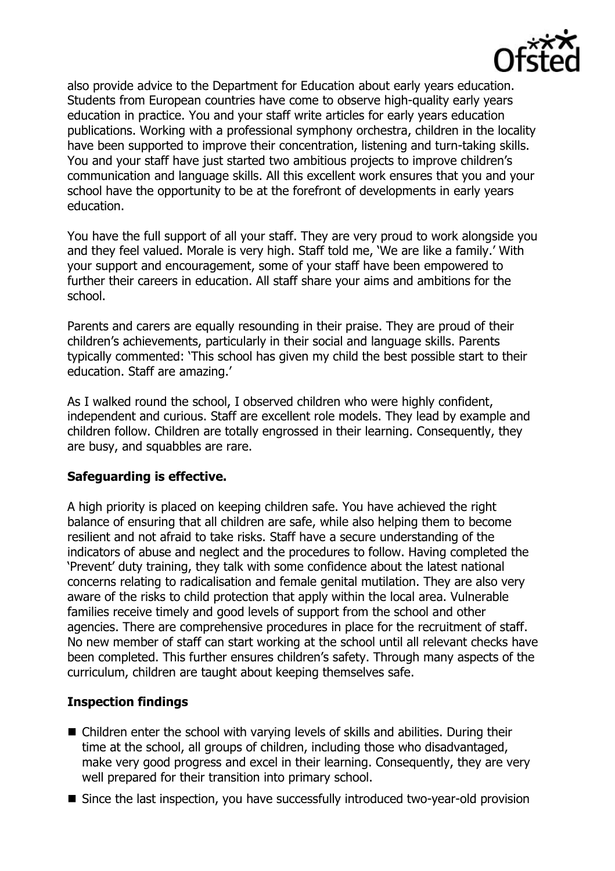

also provide advice to the Department for Education about early years education. Students from European countries have come to observe high-quality early years education in practice. You and your staff write articles for early years education publications. Working with a professional symphony orchestra, children in the locality have been supported to improve their concentration, listening and turn-taking skills. You and your staff have just started two ambitious projects to improve children's communication and language skills. All this excellent work ensures that you and your school have the opportunity to be at the forefront of developments in early years education.

You have the full support of all your staff. They are very proud to work alongside you and they feel valued. Morale is very high. Staff told me, 'We are like a family.' With your support and encouragement, some of your staff have been empowered to further their careers in education. All staff share your aims and ambitions for the school.

Parents and carers are equally resounding in their praise. They are proud of their children's achievements, particularly in their social and language skills. Parents typically commented: 'This school has given my child the best possible start to their education. Staff are amazing.'

As I walked round the school, I observed children who were highly confident, independent and curious. Staff are excellent role models. They lead by example and children follow. Children are totally engrossed in their learning. Consequently, they are busy, and squabbles are rare.

## **Safeguarding is effective.**

A high priority is placed on keeping children safe. You have achieved the right balance of ensuring that all children are safe, while also helping them to become resilient and not afraid to take risks. Staff have a secure understanding of the indicators of abuse and neglect and the procedures to follow. Having completed the 'Prevent' duty training, they talk with some confidence about the latest national concerns relating to radicalisation and female genital mutilation. They are also very aware of the risks to child protection that apply within the local area. Vulnerable families receive timely and good levels of support from the school and other agencies. There are comprehensive procedures in place for the recruitment of staff. No new member of staff can start working at the school until all relevant checks have been completed. This further ensures children's safety. Through many aspects of the curriculum, children are taught about keeping themselves safe.

# **Inspection findings**

- Children enter the school with varying levels of skills and abilities. During their time at the school, all groups of children, including those who disadvantaged, make very good progress and excel in their learning. Consequently, they are very well prepared for their transition into primary school.
- Since the last inspection, you have successfully introduced two-year-old provision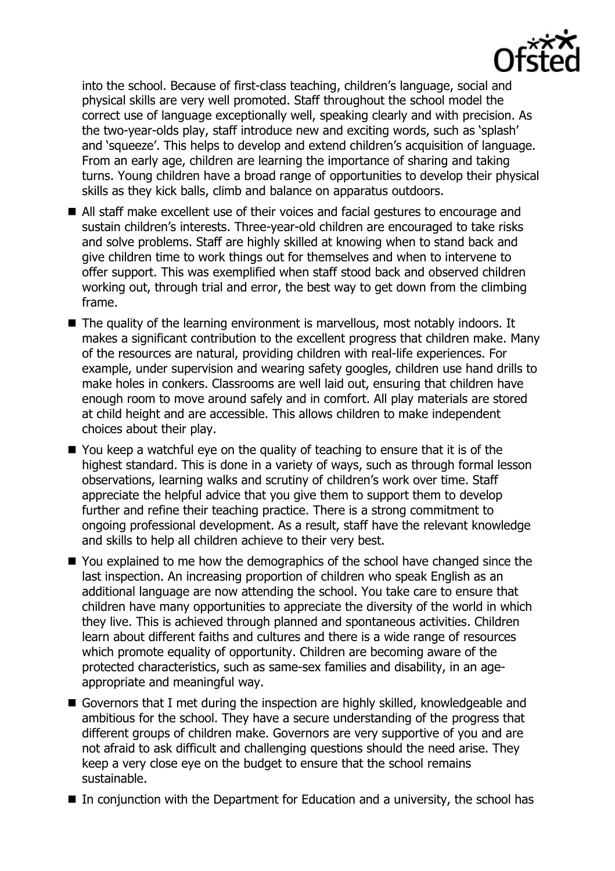into the school. Because of first-class teaching, children's language, social and physical skills are very well promoted. Staff throughout the school model the correct use of language exceptionally well, speaking clearly and with precision. As the two-year-olds play, staff introduce new and exciting words, such as 'splash' and 'squeeze'. This helps to develop and extend children's acquisition of language. From an early age, children are learning the importance of sharing and taking turns. Young children have a broad range of opportunities to develop their physical skills as they kick balls, climb and balance on apparatus outdoors.

- All staff make excellent use of their voices and facial gestures to encourage and sustain children's interests. Three-year-old children are encouraged to take risks and solve problems. Staff are highly skilled at knowing when to stand back and give children time to work things out for themselves and when to intervene to offer support. This was exemplified when staff stood back and observed children working out, through trial and error, the best way to get down from the climbing frame.
- The quality of the learning environment is marvellous, most notably indoors. It makes a significant contribution to the excellent progress that children make. Many of the resources are natural, providing children with real-life experiences. For example, under supervision and wearing safety googles, children use hand drills to make holes in conkers. Classrooms are well laid out, ensuring that children have enough room to move around safely and in comfort. All play materials are stored at child height and are accessible. This allows children to make independent choices about their play.
- You keep a watchful eye on the quality of teaching to ensure that it is of the highest standard. This is done in a variety of ways, such as through formal lesson observations, learning walks and scrutiny of children's work over time. Staff appreciate the helpful advice that you give them to support them to develop further and refine their teaching practice. There is a strong commitment to ongoing professional development. As a result, staff have the relevant knowledge and skills to help all children achieve to their very best.
- You explained to me how the demographics of the school have changed since the last inspection. An increasing proportion of children who speak English as an additional language are now attending the school. You take care to ensure that children have many opportunities to appreciate the diversity of the world in which they live. This is achieved through planned and spontaneous activities. Children learn about different faiths and cultures and there is a wide range of resources which promote equality of opportunity. Children are becoming aware of the protected characteristics, such as same-sex families and disability, in an ageappropriate and meaningful way.
- Governors that I met during the inspection are highly skilled, knowledgeable and ambitious for the school. They have a secure understanding of the progress that different groups of children make. Governors are very supportive of you and are not afraid to ask difficult and challenging questions should the need arise. They keep a very close eye on the budget to ensure that the school remains sustainable.
- In conjunction with the Department for Education and a university, the school has